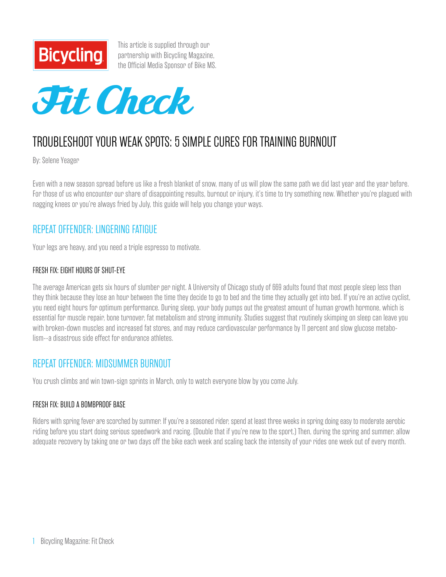

This article is supplied through our partnership with Bicycling Magazine, [the Official Media Sponsor of Bike MS.](http://www.bicycling.com/)



# TROUBLESHOOT YOUR WEAK SPOTS: 5 SIMPLE CURES FOR TRAINING BURNOUT

By: Selene Yeager

Even with a new season spread before us like a fresh blanket of snow, many of us will plow the same path we did last year and the year before. For those of us who encounter our share of disappointing results, burnout or injury, it's time to try something new. Whether you're plagued with nagging knees or you're always fried by July, this guide will help you change your ways.

# REPEAT OFFENDER: LINGERING FATIGUE

Your legs are heavy, and you need a triple espresso to motivate.

#### FRESH FIX: EIGHT HOURS OF SHUT-EYE

The average American gets six hours of slumber per night. A University of Chicago study of 669 adults found that most people sleep less than they think because they lose an hour between the time they decide to go to bed and the time they actually get into bed. If you're an active cyclist, you need eight hours for optimum performance. During sleep, your body pumps out the greatest amount of human growth hormone, which is essential for muscle repair, bone turnover, fat metabolism and strong immunity. Studies suggest that routinely skimping on sleep can leave you with broken-down muscles and increased fat stores, and may reduce cardiovascular performance by 11 percent and slow glucose metabolism--a disastrous side effect for endurance athletes.

### REPEAT OFFENDER: MIDSUMMER BURNOUT

You crush climbs and win town-sign sprints in March, only to watch everyone blow by you come July.

#### FRESH FIX: BUILD A BOMBPROOF BASE

Riders with spring fever are scorched by summer. If you're a seasoned rider, spend at least three weeks in spring doing easy to moderate aerobic riding before you start doing serious speedwork and racing. (Double that if you're new to the sport.) Then, during the spring and summer, allow adequate recovery by taking one or two days off the bike each week and scaling back the intensity of your rides one week out of every month.